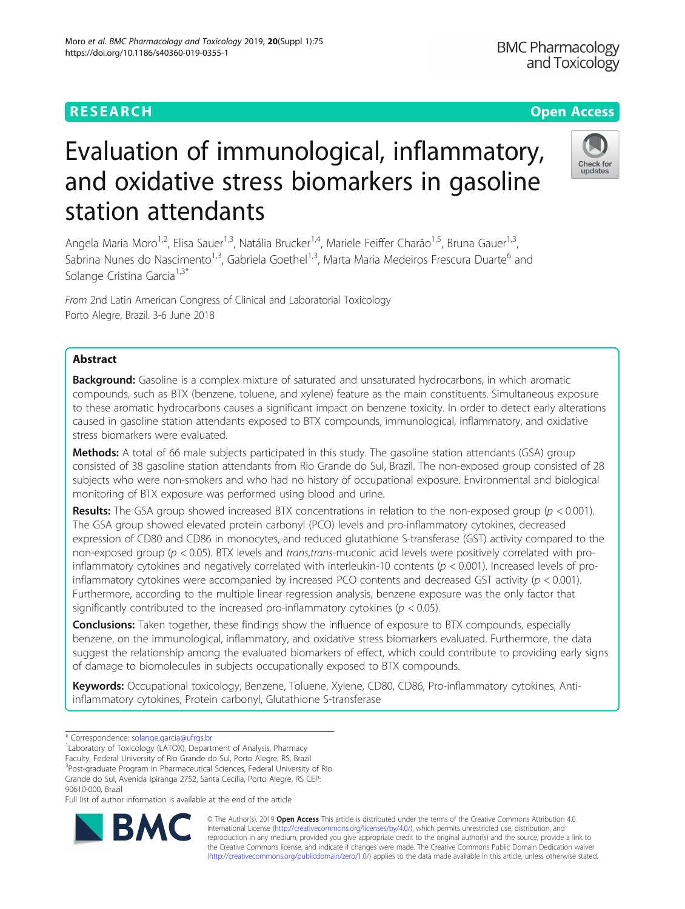# **RESEARCH CHEAR CHEAR CHEAR CHEAR CHEAR CHEAP CONTROL**

**BMC Pharmacology** and Toxicology

Check for

# Evaluation of immunological, inflammatory, and oxidative stress biomarkers in gasoline station attendants

Angela Maria Moro<sup>1,2</sup>, Elisa Sauer<sup>1,3</sup>, Natália Brucker<sup>1,4</sup>, Mariele Feiffer Charão<sup>1,5</sup>, Bruna Gauer<sup>1,3</sup>, Sabrina Nunes do Nascimento<sup>1,3</sup>, Gabriela Goethel<sup>1,3</sup>, Marta Maria Medeiros Frescura Duarte<sup>6</sup> and Solange Cristina Garcia<sup>1,3\*</sup>

From 2nd Latin American Congress of Clinical and Laboratorial Toxicology Porto Alegre, Brazil. 3-6 June 2018

# Abstract

Background: Gasoline is a complex mixture of saturated and unsaturated hydrocarbons, in which aromatic compounds, such as BTX (benzene, toluene, and xylene) feature as the main constituents. Simultaneous exposure to these aromatic hydrocarbons causes a significant impact on benzene toxicity. In order to detect early alterations caused in gasoline station attendants exposed to BTX compounds, immunological, inflammatory, and oxidative stress biomarkers were evaluated.

Methods: A total of 66 male subjects participated in this study. The gasoline station attendants (GSA) group consisted of 38 gasoline station attendants from Rio Grande do Sul, Brazil. The non-exposed group consisted of 28 subjects who were non-smokers and who had no history of occupational exposure. Environmental and biological monitoring of BTX exposure was performed using blood and urine.

**Results:** The GSA group showed increased BTX concentrations in relation to the non-exposed group ( $p < 0.001$ ). The GSA group showed elevated protein carbonyl (PCO) levels and pro-inflammatory cytokines, decreased expression of CD80 and CD86 in monocytes, and reduced glutathione S-transferase (GST) activity compared to the non-exposed group ( $p < 0.05$ ). BTX levels and trans,trans-muconic acid levels were positively correlated with proinflammatory cytokines and negatively correlated with interleukin-10 contents ( $p < 0.001$ ). Increased levels of proinflammatory cytokines were accompanied by increased PCO contents and decreased GST activity ( $p < 0.001$ ). Furthermore, according to the multiple linear regression analysis, benzene exposure was the only factor that significantly contributed to the increased pro-inflammatory cytokines ( $p < 0.05$ ).

**Conclusions:** Taken together, these findings show the influence of exposure to BTX compounds, especially benzene, on the immunological, inflammatory, and oxidative stress biomarkers evaluated. Furthermore, the data suggest the relationship among the evaluated biomarkers of effect, which could contribute to providing early signs of damage to biomolecules in subjects occupationally exposed to BTX compounds.

Keywords: Occupational toxicology, Benzene, Toluene, Xylene, CD80, CD86, Pro-inflammatory cytokines, Antiinflammatory cytokines, Protein carbonyl, Glutathione S-transferase

Laboratory of Toxicology (LATOX), Department of Analysis, Pharmacy

Faculty, Federal University of Rio Grande do Sul, Porto Alegre, RS, Brazil

<sup>3</sup>Post-graduate Program in Pharmaceutical Sciences, Federal University of Rio Grande do Sul, Avenida Ipiranga 2752, Santa Cecília, Porto Alegre, RS CEP:

90610-000, Brazil

Full list of author information is available at the end of the article



© The Author(s). 2019 **Open Access** This article is distributed under the terms of the Creative Commons Attribution 4.0 International License [\(http://creativecommons.org/licenses/by/4.0/](http://creativecommons.org/licenses/by/4.0/)), which permits unrestricted use, distribution, and reproduction in any medium, provided you give appropriate credit to the original author(s) and the source, provide a link to the Creative Commons license, and indicate if changes were made. The Creative Commons Public Domain Dedication waiver [\(http://creativecommons.org/publicdomain/zero/1.0/](http://creativecommons.org/publicdomain/zero/1.0/)) applies to the data made available in this article, unless otherwise stated.

<sup>\*</sup> Correspondence: [solange.garcia@ufrgs.br](mailto:solange.garcia@ufrgs.br) <sup>1</sup>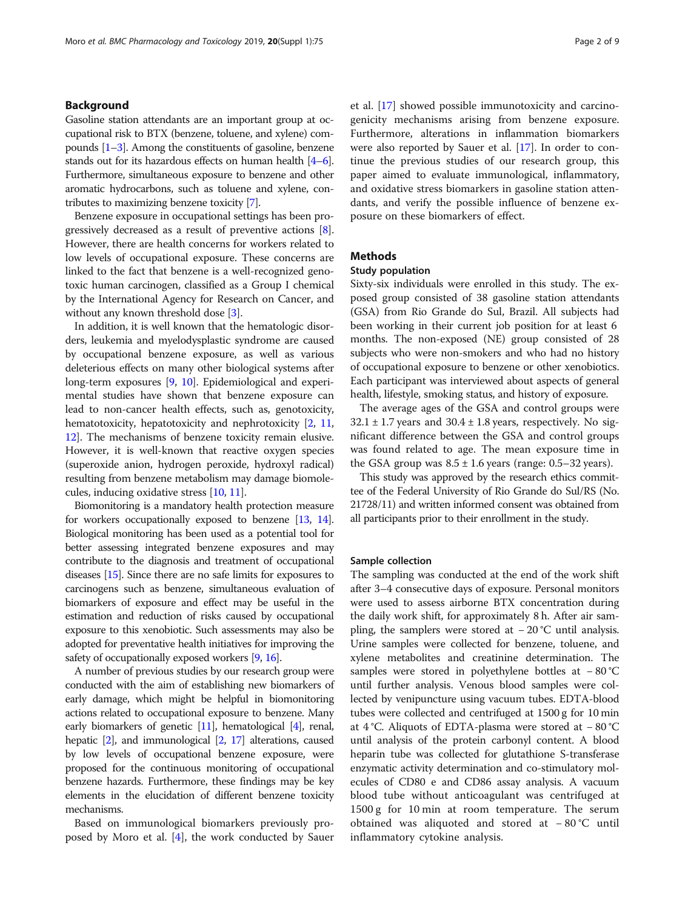# Background

Gasoline station attendants are an important group at occupational risk to BTX (benzene, toluene, and xylene) compounds [\[1](#page-7-0)–[3\]](#page-7-0). Among the constituents of gasoline, benzene stands out for its hazardous effects on human health [\[4](#page-7-0)–[6](#page-7-0)]. Furthermore, simultaneous exposure to benzene and other aromatic hydrocarbons, such as toluene and xylene, contributes to maximizing benzene toxicity [\[7\]](#page-7-0).

Benzene exposure in occupational settings has been progressively decreased as a result of preventive actions [[8](#page-7-0)]. However, there are health concerns for workers related to low levels of occupational exposure. These concerns are linked to the fact that benzene is a well-recognized genotoxic human carcinogen, classified as a Group I chemical by the International Agency for Research on Cancer, and without any known threshold dose [\[3\]](#page-7-0).

In addition, it is well known that the hematologic disorders, leukemia and myelodysplastic syndrome are caused by occupational benzene exposure, as well as various deleterious effects on many other biological systems after long-term exposures [\[9,](#page-7-0) [10](#page-7-0)]. Epidemiological and experimental studies have shown that benzene exposure can lead to non-cancer health effects, such as, genotoxicity, hematotoxicity, hepatotoxicity and nephrotoxicity  $[2, 11, 1]$  $[2, 11, 1]$  $[2, 11, 1]$  $[2, 11, 1]$  $[2, 11, 1]$ [12](#page-7-0)]. The mechanisms of benzene toxicity remain elusive. However, it is well-known that reactive oxygen species (superoxide anion, hydrogen peroxide, hydroxyl radical) resulting from benzene metabolism may damage biomolecules, inducing oxidative stress [\[10,](#page-7-0) [11](#page-7-0)].

Biomonitoring is a mandatory health protection measure for workers occupationally exposed to benzene [[13](#page-7-0), [14](#page-7-0)]. Biological monitoring has been used as a potential tool for better assessing integrated benzene exposures and may contribute to the diagnosis and treatment of occupational diseases [\[15\]](#page-7-0). Since there are no safe limits for exposures to carcinogens such as benzene, simultaneous evaluation of biomarkers of exposure and effect may be useful in the estimation and reduction of risks caused by occupational exposure to this xenobiotic. Such assessments may also be adopted for preventative health initiatives for improving the safety of occupationally exposed workers [\[9](#page-7-0), [16](#page-7-0)].

A number of previous studies by our research group were conducted with the aim of establishing new biomarkers of early damage, which might be helpful in biomonitoring actions related to occupational exposure to benzene. Many early biomarkers of genetic [[11](#page-7-0)], hematological [\[4\]](#page-7-0), renal, hepatic [\[2\]](#page-7-0), and immunological [\[2,](#page-7-0) [17](#page-7-0)] alterations, caused by low levels of occupational benzene exposure, were proposed for the continuous monitoring of occupational benzene hazards. Furthermore, these findings may be key elements in the elucidation of different benzene toxicity mechanisms.

Based on immunological biomarkers previously proposed by Moro et al. [\[4](#page-7-0)], the work conducted by Sauer et al. [\[17](#page-7-0)] showed possible immunotoxicity and carcinogenicity mechanisms arising from benzene exposure. Furthermore, alterations in inflammation biomarkers were also reported by Sauer et al. [[17\]](#page-7-0). In order to continue the previous studies of our research group, this paper aimed to evaluate immunological, inflammatory, and oxidative stress biomarkers in gasoline station attendants, and verify the possible influence of benzene exposure on these biomarkers of effect.

# **Methods**

# Study population

Sixty-six individuals were enrolled in this study. The exposed group consisted of 38 gasoline station attendants (GSA) from Rio Grande do Sul, Brazil. All subjects had been working in their current job position for at least 6 months. The non-exposed (NE) group consisted of 28 subjects who were non-smokers and who had no history of occupational exposure to benzene or other xenobiotics. Each participant was interviewed about aspects of general health, lifestyle, smoking status, and history of exposure.

The average ages of the GSA and control groups were  $32.1 \pm 1.7$  years and  $30.4 \pm 1.8$  years, respectively. No significant difference between the GSA and control groups was found related to age. The mean exposure time in the GSA group was  $8.5 \pm 1.6$  years (range: 0.5–32 years).

This study was approved by the research ethics committee of the Federal University of Rio Grande do Sul/RS (No. 21728/11) and written informed consent was obtained from all participants prior to their enrollment in the study.

#### Sample collection

The sampling was conducted at the end of the work shift after 3–4 consecutive days of exposure. Personal monitors were used to assess airborne BTX concentration during the daily work shift, for approximately 8 h. After air sampling, the samplers were stored at − 20 °C until analysis. Urine samples were collected for benzene, toluene, and xylene metabolites and creatinine determination. The samples were stored in polyethylene bottles at − 80 °C until further analysis. Venous blood samples were collected by venipuncture using vacuum tubes. EDTA-blood tubes were collected and centrifuged at 1500 g for 10 min at 4 °C. Aliquots of EDTA-plasma were stored at − 80 °C until analysis of the protein carbonyl content. A blood heparin tube was collected for glutathione S-transferase enzymatic activity determination and co-stimulatory molecules of CD80 e and CD86 assay analysis. A vacuum blood tube without anticoagulant was centrifuged at 1500 g for 10 min at room temperature. The serum obtained was aliquoted and stored at − 80 °C until inflammatory cytokine analysis.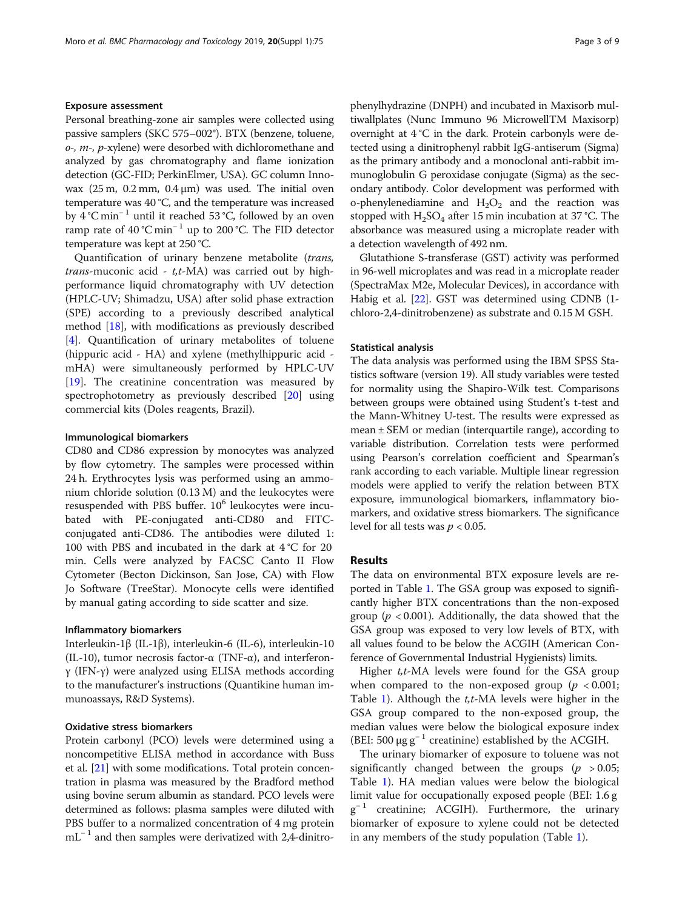# Exposure assessment

Personal breathing-zone air samples were collected using passive samplers (SKC 575–002®). BTX (benzene, toluene,  $o<sub>z</sub>$ ,  $m<sub>z</sub>$ ,  $p<sub>z</sub>$  xylene) were desorbed with dichloromethane and analyzed by gas chromatography and flame ionization detection (GC-FID; PerkinElmer, USA). GC column Innowax  $(25 m, 0.2 mm, 0.4 μm)$  was used. The initial oven temperature was 40 °C, and the temperature was increased by 4 °C min<sup>−</sup> <sup>1</sup> until it reached 53 °C, followed by an oven ramp rate of 40 °C min<sup>−</sup> <sup>1</sup> up to 200 °C. The FID detector temperature was kept at 250 °C.

Quantification of urinary benzene metabolite (trans, *trans*-muconic acid -  $t$ , $t$ -MA) was carried out by highperformance liquid chromatography with UV detection (HPLC-UV; Shimadzu, USA) after solid phase extraction (SPE) according to a previously described analytical method [[18\]](#page-7-0), with modifications as previously described [[4\]](#page-7-0). Quantification of urinary metabolites of toluene (hippuric acid - HA) and xylene (methylhippuric acid mHA) were simultaneously performed by HPLC-UV [[19\]](#page-8-0). The creatinine concentration was measured by spectrophotometry as previously described [[20\]](#page-8-0) using commercial kits (Doles reagents, Brazil).

# Immunological biomarkers

CD80 and CD86 expression by monocytes was analyzed by flow cytometry. The samples were processed within 24 h. Erythrocytes lysis was performed using an ammonium chloride solution (0.13 M) and the leukocytes were resuspended with PBS buffer.  $10<sup>6</sup>$  leukocytes were incubated with PE-conjugated anti-CD80 and FITCconjugated anti-CD86. The antibodies were diluted 1: 100 with PBS and incubated in the dark at 4 °C for 20 min. Cells were analyzed by FACSC Canto II Flow Cytometer (Becton Dickinson, San Jose, CA) with Flow Jo Software (TreeStar). Monocyte cells were identified by manual gating according to side scatter and size.

# Inflammatory biomarkers

Interleukin-1β (IL-1β), interleukin-6 (IL-6), interleukin-10 (IL-10), tumor necrosis factor- $\alpha$  (TNF- $\alpha$ ), and interferonγ (IFN-γ) were analyzed using ELISA methods according to the manufacturer's instructions (Quantikine human immunoassays, R&D Systems).

# Oxidative stress biomarkers

Protein carbonyl (PCO) levels were determined using a noncompetitive ELISA method in accordance with Buss et al. [\[21\]](#page-8-0) with some modifications. Total protein concentration in plasma was measured by the Bradford method using bovine serum albumin as standard. PCO levels were determined as follows: plasma samples were diluted with PBS buffer to a normalized concentration of 4 mg protein  $mL^{-1}$  and then samples were derivatized with 2,4-dinitrophenylhydrazine (DNPH) and incubated in Maxisorb multiwallplates (Nunc Immuno 96 MicrowellTM Maxisorp) overnight at 4 °C in the dark. Protein carbonyls were detected using a dinitrophenyl rabbit IgG-antiserum (Sigma) as the primary antibody and a monoclonal anti-rabbit immunoglobulin G peroxidase conjugate (Sigma) as the secondary antibody. Color development was performed with o-phenylenediamine and  $H_2O_2$  and the reaction was stopped with  $H_2SO_4$  after 15 min incubation at 37 °C. The absorbance was measured using a microplate reader with a detection wavelength of 492 nm.

Glutathione S-transferase (GST) activity was performed in 96-well microplates and was read in a microplate reader (SpectraMax M2e, Molecular Devices), in accordance with Habig et al. [\[22\]](#page-8-0). GST was determined using CDNB (1 chloro-2,4-dinitrobenzene) as substrate and 0.15 M GSH.

# Statistical analysis

The data analysis was performed using the IBM SPSS Statistics software (version 19). All study variables were tested for normality using the Shapiro-Wilk test. Comparisons between groups were obtained using Student's t-test and the Mann-Whitney U-test. The results were expressed as mean ± SEM or median (interquartile range), according to variable distribution. Correlation tests were performed using Pearson's correlation coefficient and Spearman's rank according to each variable. Multiple linear regression models were applied to verify the relation between BTX exposure, immunological biomarkers, inflammatory biomarkers, and oxidative stress biomarkers. The significance level for all tests was  $p < 0.05$ .

# Results

The data on environmental BTX exposure levels are reported in Table [1.](#page-3-0) The GSA group was exposed to significantly higher BTX concentrations than the non-exposed group ( $p < 0.001$ ). Additionally, the data showed that the GSA group was exposed to very low levels of BTX, with all values found to be below the ACGIH (American Conference of Governmental Industrial Hygienists) limits.

Higher  $t$ , $t$ -MA levels were found for the GSA group when compared to the non-exposed group ( $p < 0.001$ ; Table [1](#page-3-0)). Although the  $t, t$ -MA levels were higher in the GSA group compared to the non-exposed group, the median values were below the biological exposure index (BEI: 500  $\mu$ g g<sup>-1</sup> creatinine) established by the ACGIH.

The urinary biomarker of exposure to toluene was not significantly changed between the groups ( $p > 0.05$ ; Table [1](#page-3-0)). HA median values were below the biological limit value for occupationally exposed people (BEI: 1.6 g  $g^{-1}$  creatinine; ACGIH). Furthermore, the urinary biomarker of exposure to xylene could not be detected in any members of the study population (Table [1](#page-3-0)).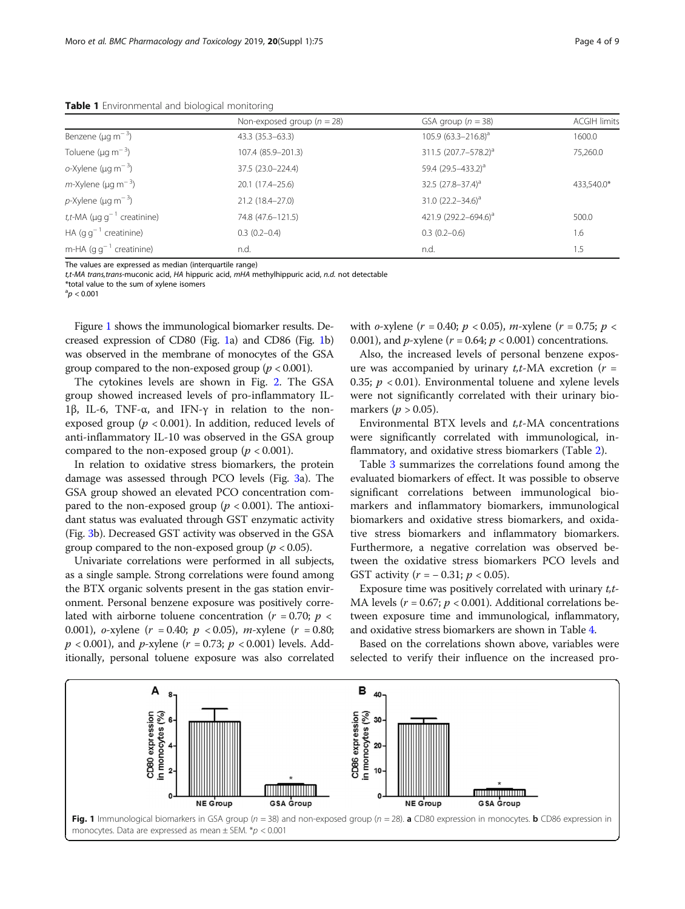<span id="page-3-0"></span>Table 1 Environmental and biological monitoring

|                                              | Non-exposed group ( $n = 28$ ) | GSA group $(n = 38)$             | <b>ACGIH limits</b> |  |
|----------------------------------------------|--------------------------------|----------------------------------|---------------------|--|
| Benzene ( $\mu$ g m <sup>-3</sup> )          | $43.3(35.3 - 63.3)$            | 105.9 $(63.3 - 216.8)^a$         | 1600.0              |  |
| Toluene ( $\mu$ g m <sup>-3</sup> )          | 107.4 (85.9-201.3)             | 311.5 (207.7-578.2) <sup>a</sup> | 75,260.0            |  |
| o-Xylene ( $\mu$ g m <sup>-3</sup> )         | 37.5 (23.0-224.4)              | 59.4 (29.5-433.2) <sup>a</sup>   |                     |  |
| $m$ -Xylene (µg m <sup>-3</sup> )            | $20.1(17.4-25.6)$              | 32.5 $(27.8 - 37.4)^a$           | 433,540.0*          |  |
| $p$ -Xylene (µg m <sup>-3</sup> )            | 21.2 (18.4-27.0)               | 31.0 $(22.2 - 34.6)^a$           |                     |  |
| t,t-MA ( $\mu$ g g <sup>-1</sup> creatinine) | 74.8 (47.6-121.5)              | 421.9 (292.2-694.6) <sup>a</sup> | 500.0               |  |
| HA $(g g^{-1}$ creatinine)                   | $0.3(0.2-0.4)$                 | $0.3(0.2-0.6)$                   | l.6                 |  |
| m-HA $(g g^{-1}$ creatinine)                 | n.d.                           | n.d.                             | 1.5                 |  |

The values are expressed as median (interquartile range)

t,t-MA trans,trans-muconic acid, HA hippuric acid, mHA methylhippuric acid, n.d. not detectable

\*total value to the sum of xylene isomers  ${}^{a}p < 0.001$ 

Figure 1 shows the immunological biomarker results. Decreased expression of CD80 (Fig. 1a) and CD86 (Fig. 1b) was observed in the membrane of monocytes of the GSA group compared to the non-exposed group ( $p < 0.001$ ).

The cytokines levels are shown in Fig. [2.](#page-4-0) The GSA group showed increased levels of pro-inflammatory IL-1β, IL-6, TNF-α, and IFN-γ in relation to the nonexposed group ( $p < 0.001$ ). In addition, reduced levels of anti-inflammatory IL-10 was observed in the GSA group compared to the non-exposed group ( $p < 0.001$ ).

In relation to oxidative stress biomarkers, the protein damage was assessed through PCO levels (Fig. [3a](#page-4-0)). The GSA group showed an elevated PCO concentration compared to the non-exposed group ( $p < 0.001$ ). The antioxidant status was evaluated through GST enzymatic activity (Fig. [3](#page-4-0)b). Decreased GST activity was observed in the GSA group compared to the non-exposed group ( $p < 0.05$ ).

Univariate correlations were performed in all subjects, as a single sample. Strong correlations were found among the BTX organic solvents present in the gas station environment. Personal benzene exposure was positively correlated with airborne toluene concentration ( $r = 0.70$ ;  $p <$ 0.001), o-xylene  $(r = 0.40; p < 0.05)$ , m-xylene  $(r = 0.80;$  $p < 0.001$ ), and p-xylene (r = 0.73; p < 0.001) levels. Additionally, personal toluene exposure was also correlated

with *o*-xylene (*r* = 0.40; *p* < 0.05), *m*-xylene (*r* = 0.75; *p* < 0.001), and *p*-xylene ( $r = 0.64$ ;  $p < 0.001$ ) concentrations.

Also, the increased levels of personal benzene exposure was accompanied by urinary  $t, t$ -MA excretion ( $r =$ 0.35;  $p < 0.01$ ). Environmental toluene and xylene levels were not significantly correlated with their urinary biomarkers ( $p > 0.05$ ).

Environmental BTX levels and  $t$ , $t$ -MA concentrations were significantly correlated with immunological, inflammatory, and oxidative stress biomarkers (Table [2\)](#page-5-0).

Table [3](#page-5-0) summarizes the correlations found among the evaluated biomarkers of effect. It was possible to observe significant correlations between immunological biomarkers and inflammatory biomarkers, immunological biomarkers and oxidative stress biomarkers, and oxidative stress biomarkers and inflammatory biomarkers. Furthermore, a negative correlation was observed between the oxidative stress biomarkers PCO levels and GST activity ( $r = -0.31; p < 0.05$ ).

Exposure time was positively correlated with urinary  $t, t$ -MA levels ( $r = 0.67$ ;  $p < 0.001$ ). Additional correlations between exposure time and immunological, inflammatory, and oxidative stress biomarkers are shown in Table [4.](#page-6-0)

Based on the correlations shown above, variables were selected to verify their influence on the increased pro-

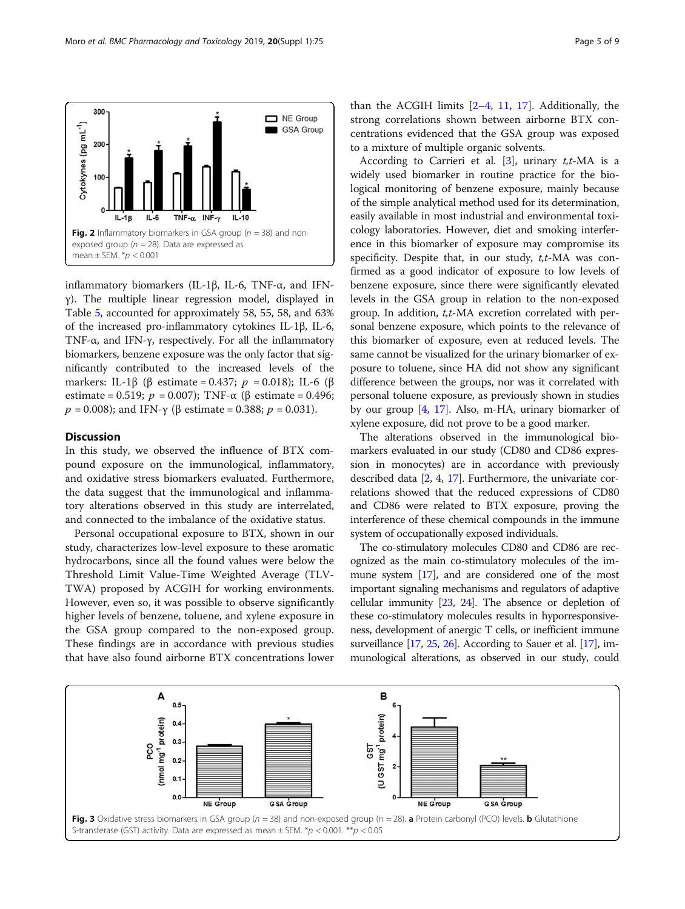

<span id="page-4-0"></span>

inflammatory biomarkers (IL-1β, IL-6, TNF-α, and IFNγ). The multiple linear regression model, displayed in Table [5](#page-6-0), accounted for approximately 58, 55, 58, and 63% of the increased pro-inflammatory cytokines IL-1β, IL-6, TNF-α, and IFN-γ, respectively. For all the inflammatory biomarkers, benzene exposure was the only factor that significantly contributed to the increased levels of the markers: IL-1β (β estimate = 0.437;  $p = 0.018$ ); IL-6 (β estimate = 0.519;  $p = 0.007$ ); TNF-α (β estimate = 0.496;  $p = 0.008$ ); and IFN-γ (β estimate = 0.388;  $p = 0.031$ ).

# **Discussion**

In this study, we observed the influence of BTX compound exposure on the immunological, inflammatory, and oxidative stress biomarkers evaluated. Furthermore, the data suggest that the immunological and inflammatory alterations observed in this study are interrelated, and connected to the imbalance of the oxidative status.

Personal occupational exposure to BTX, shown in our study, characterizes low-level exposure to these aromatic hydrocarbons, since all the found values were below the Threshold Limit Value-Time Weighted Average (TLV-TWA) proposed by ACGIH for working environments. However, even so, it was possible to observe significantly higher levels of benzene, toluene, and xylene exposure in the GSA group compared to the non-exposed group. These findings are in accordance with previous studies that have also found airborne BTX concentrations lower

than the ACGIH limits  $[2-4, 11, 17]$  $[2-4, 11, 17]$  $[2-4, 11, 17]$  $[2-4, 11, 17]$  $[2-4, 11, 17]$  $[2-4, 11, 17]$  $[2-4, 11, 17]$  $[2-4, 11, 17]$ . Additionally, the strong correlations shown between airborne BTX concentrations evidenced that the GSA group was exposed to a mixture of multiple organic solvents.

According to Carrieri et al. [[3\]](#page-7-0), urinary  $t, t$ -MA is a widely used biomarker in routine practice for the biological monitoring of benzene exposure, mainly because of the simple analytical method used for its determination, easily available in most industrial and environmental toxicology laboratories. However, diet and smoking interference in this biomarker of exposure may compromise its specificity. Despite that, in our study,  $t, t$ -MA was confirmed as a good indicator of exposure to low levels of benzene exposure, since there were significantly elevated levels in the GSA group in relation to the non-exposed group. In addition, t,t-MA excretion correlated with personal benzene exposure, which points to the relevance of this biomarker of exposure, even at reduced levels. The same cannot be visualized for the urinary biomarker of exposure to toluene, since HA did not show any significant difference between the groups, nor was it correlated with personal toluene exposure, as previously shown in studies by our group [[4,](#page-7-0) [17](#page-7-0)]. Also, m-HA, urinary biomarker of xylene exposure, did not prove to be a good marker.

The alterations observed in the immunological biomarkers evaluated in our study (CD80 and CD86 expression in monocytes) are in accordance with previously described data [\[2,](#page-7-0) [4,](#page-7-0) [17\]](#page-7-0). Furthermore, the univariate correlations showed that the reduced expressions of CD80 and CD86 were related to BTX exposure, proving the interference of these chemical compounds in the immune system of occupationally exposed individuals.

The co-stimulatory molecules CD80 and CD86 are recognized as the main co-stimulatory molecules of the immune system [[17](#page-7-0)], and are considered one of the most important signaling mechanisms and regulators of adaptive cellular immunity [\[23,](#page-8-0) [24](#page-8-0)]. The absence or depletion of these co-stimulatory molecules results in hyporresponsiveness, development of anergic T cells, or inefficient immune surveillance [[17,](#page-7-0) [25](#page-8-0), [26\]](#page-8-0). According to Sauer et al. [\[17\]](#page-7-0), immunological alterations, as observed in our study, could

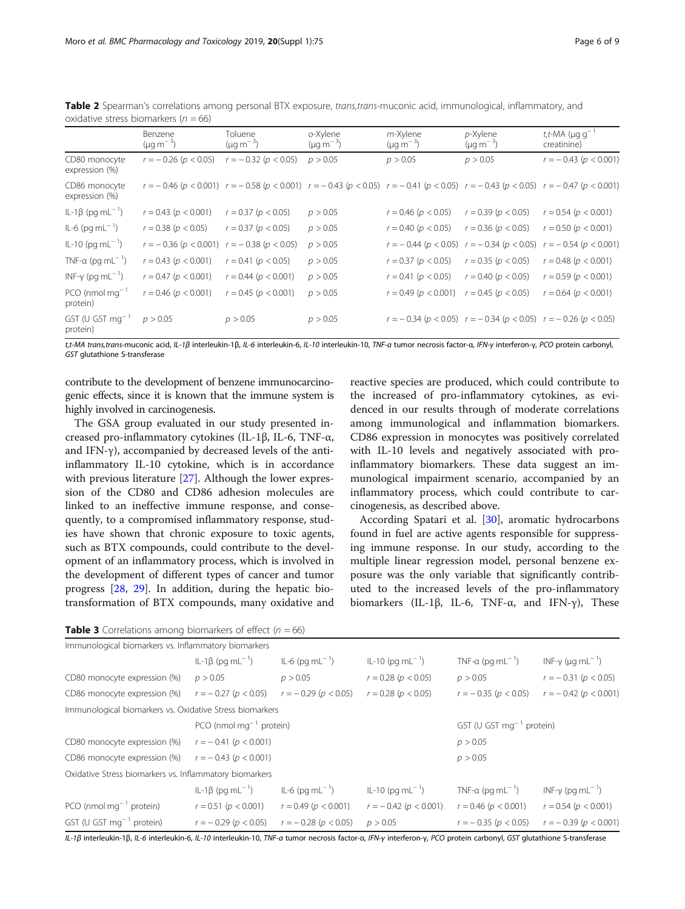|                                          | Benzene<br>$(\mu q \, m^{-3})$ | Toluene<br>$(\mu q \, m^{-3})$                                                                                                                                      | o-Xylene<br>$(\mu q \, m^{-3})$ | $m$ -Xylene<br>$(\mu q \, m^{-3})$ | $p$ -Xylene<br>$(\mu q \, m^{-3})$                                               | t,t-MA ( $\mu$ g g <sup>-1</sup><br>creatinine) |
|------------------------------------------|--------------------------------|---------------------------------------------------------------------------------------------------------------------------------------------------------------------|---------------------------------|------------------------------------|----------------------------------------------------------------------------------|-------------------------------------------------|
| CD80 monocyte<br>expression (%)          | $r = -0.26$ ( $p < 0.05$ )     | $r = -0.32$ ( $p < 0.05$ )                                                                                                                                          | p > 0.05                        | p > 0.05                           | p > 0.05                                                                         | $r = -0.43$ ( $p < 0.001$ )                     |
| CD86 monocyte<br>expression (%)          |                                | $r = -0.46$ (p < 0.001) $r = -0.58$ (p < 0.001) $r = -0.43$ (p < 0.05) $r = -0.41$ (p < 0.05) $r = -0.43$ (p < 0.05) $r = -0.43$ (p < 0.05) $r = -0.47$ (p < 0.001) |                                 |                                    |                                                                                  |                                                 |
| IL-1β (pq mL <sup>-1</sup> )             | $r = 0.43$ ( $p < 0.001$ )     | $r = 0.37$ ( $p < 0.05$ )                                                                                                                                           | p > 0.05                        | $r = 0.46$ ( $p < 0.05$ )          | $r = 0.39$ ( $p < 0.05$ )                                                        | $r = 0.54$ ( $p < 0.001$ )                      |
| $IL-6$ (pg m $L^{-1}$ )                  | $r = 0.38$ ( $p < 0.05$ )      | $r = 0.37$ ( $p < 0.05$ )                                                                                                                                           | p > 0.05                        | $r = 0.40$ ( $p < 0.05$ )          | $r = 0.36$ ( $p < 0.05$ )                                                        | $r = 0.50$ ( $p < 0.001$ )                      |
| $IL-10$ (pg m $L^{-1}$ )                 | $r = -0.36 (p < 0.001)$        | $r = -0.38$ ( $p < 0.05$ )                                                                                                                                          | p > 0.05                        | $r = -0.44$ ( $p < 0.05$ )         | $r = -0.34$ ( $p < 0.05$ )                                                       | $r = -0.54$ ( $p < 0.001$ )                     |
| TNF-a (pg mL <sup>-1</sup> )             | $r = 0.43$ ( $p < 0.001$ )     | $r = 0.41$ ( $p < 0.05$ )                                                                                                                                           | p > 0.05                        | $r = 0.37$ ( $p < 0.05$ )          | $r = 0.35$ ( $p < 0.05$ )                                                        | $r = 0.48$ ( $p < 0.001$ )                      |
| INF- $\gamma$ (pq mL <sup>-1</sup> )     | $r = 0.47$ ( $p < 0.001$ )     | $r = 0.44$ ( $p < 0.001$ )                                                                                                                                          | p > 0.05                        | $r = 0.41$ ( $p < 0.05$ )          | $r = 0.40$ ( $p < 0.05$ )                                                        | $r = 0.59$ ( $p < 0.001$ )                      |
| $PCO$ (nmol mg <sup>-1</sup><br>protein) | $r = 0.46$ ( $p < 0.001$ )     | $r = 0.45$ ( $p < 0.001$ )                                                                                                                                          | p > 0.05                        | $r = 0.49$ ( $p < 0.001$ )         | $r = 0.45$ ( $p < 0.05$ )                                                        | $r = 0.64$ ( $p < 0.001$ )                      |
| GST (U GST $mq^{-1}$<br>protein)         | p > 0.05                       | p > 0.05                                                                                                                                                            | p > 0.05                        |                                    | $r = -0.34$ ( $p < 0.05$ ) $r = -0.34$ ( $p < 0.05$ ) $r = -0.26$ ( $p < 0.05$ ) |                                                 |

<span id="page-5-0"></span>Table 2 Spearman's correlations among personal BTX exposure, trans,trans-muconic acid, immunological, inflammatory, and oxidative stress biomarkers ( $n = 66$ )

t,t-MA trans,trans-muconic acid, IL-1β interleukin-1β, IL-6 interleukin-6, IL-10 interleukin-10, TNF-α tumor necrosis factor-α, IFN-γ interferon-γ, PCO protein carbonyl, GST glutathione S-transferase

contribute to the development of benzene immunocarcinogenic effects, since it is known that the immune system is highly involved in carcinogenesis.

The GSA group evaluated in our study presented increased pro-inflammatory cytokines (IL-1β, IL-6, TNF-α, and IFN-γ), accompanied by decreased levels of the antiinflammatory IL-10 cytokine, which is in accordance with previous literature [\[27\]](#page-8-0). Although the lower expression of the CD80 and CD86 adhesion molecules are linked to an ineffective immune response, and consequently, to a compromised inflammatory response, studies have shown that chronic exposure to toxic agents, such as BTX compounds, could contribute to the development of an inflammatory process, which is involved in the development of different types of cancer and tumor progress [\[28,](#page-8-0) [29\]](#page-8-0). In addition, during the hepatic biotransformation of BTX compounds, many oxidative and

reactive species are produced, which could contribute to the increased of pro-inflammatory cytokines, as evidenced in our results through of moderate correlations among immunological and inflammation biomarkers. CD86 expression in monocytes was positively correlated with IL-10 levels and negatively associated with proinflammatory biomarkers. These data suggest an immunological impairment scenario, accompanied by an inflammatory process, which could contribute to carcinogenesis, as described above.

According Spatari et al. [\[30](#page-8-0)], aromatic hydrocarbons found in fuel are active agents responsible for suppressing immune response. In our study, according to the multiple linear regression model, personal benzene exposure was the only variable that significantly contributed to the increased levels of the pro-inflammatory biomarkers (IL-1β, IL-6, TNF- $\alpha$ , and IFN-γ), These

| <b>Table 3</b> Correlations among biomarkers of effect ( $n = 66$ ) |  |  |  |  |
|---------------------------------------------------------------------|--|--|--|--|
|---------------------------------------------------------------------|--|--|--|--|

| Immunological biomarkers vs. Inflammatory biomarkers     |                                     |                             |                             |                               |                                     |  |
|----------------------------------------------------------|-------------------------------------|-----------------------------|-----------------------------|-------------------------------|-------------------------------------|--|
|                                                          | IL-1β (pq mL <sup>-1</sup> )        | $IL-6$ (pg m $L^{-1}$ )     | $IL-10$ (pg m $L^{-1}$ )    | TNF-a (pq mL $^{-1}$ )        | $INF-\gamma$ (µg mL <sup>-1</sup> ) |  |
| CD80 monocyte expression (%)                             | p > 0.05                            | p > 0.05                    | $r = 0.28$ ( $p < 0.05$ )   | p > 0.05                      | $r = -0.31$ ( $p < 0.05$ )          |  |
| CD86 monocyte expression (%)                             | $r = -0.27$ ( $p < 0.05$ )          | $r = -0.29$ ( $p < 0.05$ )  | $r = 0.28$ ( $p < 0.05$ )   | $r = -0.35$ ( $p < 0.05$ )    | $r = -0.42$ ( $p < 0.001$ )         |  |
| Immunological biomarkers vs. Oxidative Stress biomarkers |                                     |                             |                             |                               |                                     |  |
|                                                          | PCO (nmol mg <sup>-1</sup> protein) |                             |                             | GST (U GST $mg^{-1}$ protein) |                                     |  |
| CD80 monocyte expression (%)                             | $r = -0.41$ ( $p < 0.001$ )         |                             |                             | p > 0.05                      |                                     |  |
| CD86 monocyte expression (%)                             | $r = -0.43$ ( $p < 0.001$ )         |                             |                             | p > 0.05                      |                                     |  |
| Oxidative Stress biomarkers vs. Inflammatory biomarkers  |                                     |                             |                             |                               |                                     |  |
|                                                          | IL-1β (pq mL <sup>-1</sup> )        | IL-6 (pg mL <sup>-1</sup> ) | $ L-10$ (pg m $L^{-1}$ )    | TNF-a (pq mL <sup>-1</sup> )  | $INF-\gamma$ (pg mL <sup>-1</sup> ) |  |
| PCO (nmol mg $^{-1}$ protein)                            | $r = 0.51$ ( $p < 0.001$ )          | $r = 0.49$ ( $p < 0.001$ )  | $r = -0.42$ ( $p < 0.001$ ) | $r = 0.46$ ( $p < 0.001$ )    | $r = 0.54$ ( $p < 0.001$ )          |  |
| GST (U GST $mg^{-1}$ protein)                            | $r = -0.29$ ( $p < 0.05$ )          | $r = -0.28$ ( $p < 0.05$ )  | p > 0.05                    | $r = -0.35$ ( $p < 0.05$ )    | $r = -0.39$ ( $p < 0.001$ )         |  |
|                                                          |                                     |                             |                             |                               |                                     |  |

IL-1β interleukin-1β, IL-6 interleukin-6, IL-10 interleukin-10, TNF-α tumor necrosis factor-α, IFN-γ interferon-γ, PCO protein carbonyl, GST glutathione S-transferase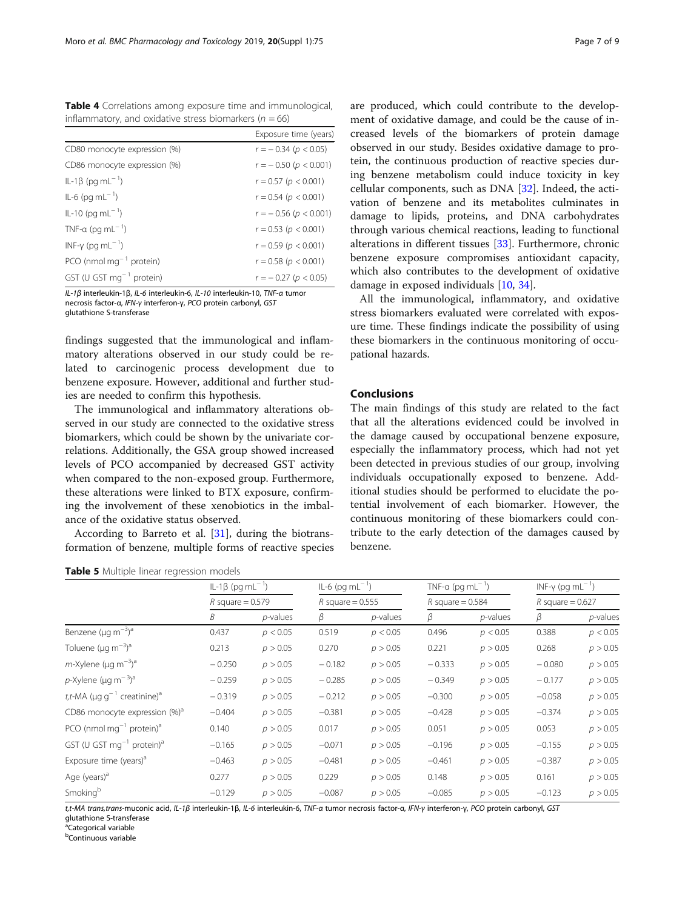<span id="page-6-0"></span>Table 4 Correlations among exposure time and immunological, inflammatory, and oxidative stress biomarkers ( $n = 66$ )

|                                      | Exposure time (years)       |
|--------------------------------------|-----------------------------|
| CD80 monocyte expression (%)         | $r = -0.34$ ( $p < 0.05$ )  |
| CD86 monocyte expression (%)         | $r = -0.50$ ( $p < 0.001$ ) |
| IL-1β (pq mL <sup>-1</sup> )         | $r = 0.57$ ( $p < 0.001$ )  |
| $IL-6$ (pg m $L^{-1}$ )              | $r = 0.54$ ( $p < 0.001$ )  |
| $ L-10$ (pg m $L^{-1}$ )             | $r = -0.56$ ( $p < 0.001$ ) |
| TNF-a (pg mL <sup>-1</sup> )         | $r = 0.53$ ( $p < 0.001$ )  |
| INF- $\gamma$ (pg mL <sup>-1</sup> ) | $r = 0.59$ ( $p < 0.001$ )  |
| PCO (nmol $mg^{-1}$ protein)         | $r = 0.58$ ( $p < 0.001$ )  |
| GST (U GST $mg^{-1}$ protein)        | $r = -0.27$ ( $p < 0.05$ )  |

IL-1β interleukin-1β, IL-6 interleukin-6, IL-10 interleukin-10, TNF-α tumor necrosis factor-α, IFN-γ interferon-γ, PCO protein carbonyl, GST glutathione S-transferase

findings suggested that the immunological and inflammatory alterations observed in our study could be related to carcinogenic process development due to benzene exposure. However, additional and further studies are needed to confirm this hypothesis.

The immunological and inflammatory alterations observed in our study are connected to the oxidative stress biomarkers, which could be shown by the univariate correlations. Additionally, the GSA group showed increased levels of PCO accompanied by decreased GST activity when compared to the non-exposed group. Furthermore, these alterations were linked to BTX exposure, confirming the involvement of these xenobiotics in the imbalance of the oxidative status observed.

According to Barreto et al. [\[31](#page-8-0)], during the biotransformation of benzene, multiple forms of reactive species

# Table 5 Multiple linear regression models

are produced, which could contribute to the development of oxidative damage, and could be the cause of increased levels of the biomarkers of protein damage observed in our study. Besides oxidative damage to protein, the continuous production of reactive species during benzene metabolism could induce toxicity in key cellular components, such as DNA [\[32](#page-8-0)]. Indeed, the activation of benzene and its metabolites culminates in damage to lipids, proteins, and DNA carbohydrates through various chemical reactions, leading to functional alterations in different tissues [\[33](#page-8-0)]. Furthermore, chronic benzene exposure compromises antioxidant capacity, which also contributes to the development of oxidative damage in exposed individuals [[10,](#page-7-0) [34\]](#page-8-0).

All the immunological, inflammatory, and oxidative stress biomarkers evaluated were correlated with exposure time. These findings indicate the possibility of using these biomarkers in the continuous monitoring of occupational hazards.

# Conclusions

The main findings of this study are related to the fact that all the alterations evidenced could be involved in the damage caused by occupational benzene exposure, especially the inflammatory process, which had not yet been detected in previous studies of our group, involving individuals occupationally exposed to benzene. Additional studies should be performed to elucidate the potential involvement of each biomarker. However, the continuous monitoring of these biomarkers could contribute to the early detection of the damages caused by benzene.

|                                                           | IL-1β (pq mL <sup>-1</sup> )<br>$R$ square = 0.579 |             | $IL-6$ (pg m $L^{-1}$ )<br>R square = $0.555$ |             | TNF-a (pg mL <sup>-1</sup> )<br>$R$ square = 0.584 |             | INF- $\gamma$ (pg mL <sup>-1</sup> )<br>R square = $0.627$ |             |
|-----------------------------------------------------------|----------------------------------------------------|-------------|-----------------------------------------------|-------------|----------------------------------------------------|-------------|------------------------------------------------------------|-------------|
|                                                           |                                                    |             |                                               |             |                                                    |             |                                                            |             |
|                                                           | В                                                  | $p$ -values | β                                             | $p$ -values | β                                                  | $p$ -values | β                                                          | $p$ -values |
| Benzene ( $\mu$ g m <sup>-3</sup> ) <sup>a</sup>          | 0.437                                              | p < 0.05    | 0.519                                         | p < 0.05    | 0.496                                              | p < 0.05    | 0.388                                                      | p < 0.05    |
| Toluene ( $\mu$ g m <sup>-3</sup> ) <sup>a</sup>          | 0.213                                              | p > 0.05    | 0.270                                         | p > 0.05    | 0.221                                              | p > 0.05    | 0.268                                                      | p > 0.05    |
| $m$ -Xylene (µg m <sup>-3</sup> ) <sup>a</sup>            | $-0.250$                                           | p > 0.05    | $-0.182$                                      | p > 0.05    | $-0.333$                                           | p > 0.05    | $-0.080$                                                   | p > 0.05    |
| p-Xylene ( $\mu$ g m <sup>-3</sup> ) <sup>a</sup>         | $-0.259$                                           | p > 0.05    | $-0.285$                                      | p > 0.05    | $-0.349$                                           | p > 0.05    | $-0.177$                                                   | p > 0.05    |
| t,t-MA ( $\mu$ g q <sup>-1</sup> creatinine) <sup>a</sup> | $-0.319$                                           | p > 0.05    | $-0.212$                                      | p > 0.05    | $-0.300$                                           | p > 0.05    | $-0.058$                                                   | p > 0.05    |
| CD86 monocyte expression $%$ <sup>a</sup>                 | $-0.404$                                           | p > 0.05    | $-0.381$                                      | p > 0.05    | $-0.428$                                           | p > 0.05    | $-0.374$                                                   | p > 0.05    |
| PCO (nmol mg $^{-1}$ protein) <sup>a</sup>                | 0.140                                              | p > 0.05    | 0.017                                         | p > 0.05    | 0.051                                              | p > 0.05    | 0.053                                                      | p > 0.05    |
| GST (U GST $mq^{-1}$ protein) <sup>a</sup>                | $-0.165$                                           | p > 0.05    | $-0.071$                                      | p > 0.05    | $-0.196$                                           | p > 0.05    | $-0.155$                                                   | p > 0.05    |
| Exposure time (years) <sup>a</sup>                        | $-0.463$                                           | p > 0.05    | $-0.481$                                      | p > 0.05    | $-0.461$                                           | p > 0.05    | $-0.387$                                                   | p > 0.05    |
| Age (years) <sup>a</sup>                                  | 0.277                                              | p > 0.05    | 0.229                                         | p > 0.05    | 0.148                                              | p > 0.05    | 0.161                                                      | p > 0.05    |
| Smoking <sup>b</sup>                                      | $-0.129$                                           | p > 0.05    | $-0.087$                                      | p > 0.05    | $-0.085$                                           | p > 0.05    | $-0.123$                                                   | p > 0.05    |

t,t-MA trans,trans-muconic acid, IL-1β interleukin-1β, IL-6 interleukin-6, TNF-α tumor necrosis factor-α, IFN-γ interferon-γ, PCO protein carbonyl, GST

glutathione S-transferase

<sup>a</sup>Categorical variable

b Continuous variable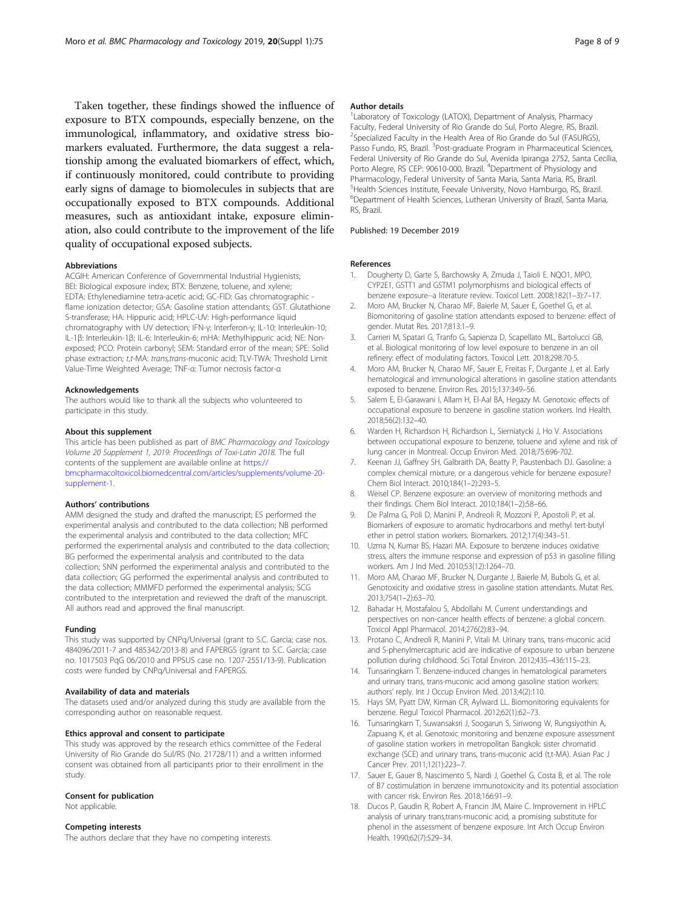<span id="page-7-0"></span>Taken together, these findings showed the influence of exposure to BTX compounds, especially benzene, on the immunological, inflammatory, and oxidative stress biomarkers evaluated. Furthermore, the data suggest a relationship among the evaluated biomarkers of effect, which, if continuously monitored, could contribute to providing early signs of damage to biomolecules in subjects that are occupationally exposed to BTX compounds. Additional measures, such as antioxidant intake, exposure elimination, also could contribute to the improvement of the life quality of occupational exposed subjects.

#### Abbreviations

ACGIH: American Conference of Governmental Industrial Hygienists; BEI: Biological exposure index; BTX: Benzene, toluene, and xylene; EDTA: Ethylenediamine tetra-acetic acid; GC-FID: Gas chromatographic flame ionization detector; GSA: Gasoline station attendants; GST: Glutathione S-transferase; HA: Hippuric acid; HPLC-UV: High-performance liquid chromatography with UV detection; IFN-γ: Interferon-γ; IL-10: Interleukin-10; IL-1β: Interleukin-1β; IL-6: Interleukin-6; mHA: Methylhippuric acid; NE: Nonexposed; PCO: Protein carbonyl; SEM: Standard error of the mean; SPE: Solid phase extraction; t,t-MA: trans,trans-muconic acid; TLV-TWA: Threshold Limit Value-Time Weighted Average; TNF-α: Tumor necrosis factor-α

#### Acknowledgements

The authors would like to thank all the subjects who volunteered to participate in this study.

#### About this supplement

This article has been published as part of BMC Pharmacology and Toxicology Volume 20 Supplement 1, 2019: Proceedings of Toxi-Latin 2018. The full contents of the supplement are available online at [https://](https://bmcpharmacoltoxicol.biomedcentral.com/articles/supplements/volume-20-supplement-1) [bmcpharmacoltoxicol.biomedcentral.com/articles/supplements/volume-20](https://bmcpharmacoltoxicol.biomedcentral.com/articles/supplements/volume-20-supplement-1) [supplement-1](https://bmcpharmacoltoxicol.biomedcentral.com/articles/supplements/volume-20-supplement-1).

#### Authors' contributions

AMM designed the study and drafted the manuscript; ES performed the experimental analysis and contributed to the data collection; NB performed the experimental analysis and contributed to the data collection; MFC performed the experimental analysis and contributed to the data collection; BG performed the experimental analysis and contributed to the data collection; SNN performed the experimental analysis and contributed to the data collection; GG performed the experimental analysis and contributed to the data collection; MMMFD performed the experimental analysis; SCG contributed to the interpretation and reviewed the draft of the manuscript. All authors read and approved the final manuscript.

#### Funding

This study was supported by CNPq/Universal (grant to S.C. Garcia; case nos. 484096/2011-7 and 485342/2013-8) and FAPERGS (grant to S.C. Garcia; case no. 1017503 PqG 06/2010 and PPSUS case no. 1207-2551/13-9). Publication costs were funded by CNPq/Universal and FAPERGS.

#### Availability of data and materials

The datasets used and/or analyzed during this study are available from the corresponding author on reasonable request.

#### Ethics approval and consent to participate

This study was approved by the research ethics committee of the Federal University of Rio Grande do Sul/RS (No. 21728/11) and a written informed consent was obtained from all participants prior to their enrollment in the study.

#### Consent for publication

Not applicable.

# Competing interests

The authors declare that they have no competing interests.

#### Author details

<sup>1</sup> Laboratory of Toxicology (LATOX), Department of Analysis, Pharmacy Faculty, Federal University of Rio Grande do Sul, Porto Alegre, RS, Brazil. <sup>2</sup>Specialized Faculty in the Health Area of Rio Grande do Sul (FASURGS) Passo Fundo, RS, Brazil. <sup>3</sup>Post-graduate Program in Pharmaceutical Sciences, Federal University of Rio Grande do Sul, Avenida Ipiranga 2752, Santa Cecília, Porto Alegre, RS CEP: 90610-000, Brazil. <sup>4</sup>Department of Physiology and Pharmacology, Federal University of Santa Maria, Santa Maria, RS, Brazil. 5 Health Sciences Institute, Feevale University, Novo Hamburgo, RS, Brazil. 6 Department of Health Sciences, Lutheran University of Brazil, Santa Maria, RS, Brazil.

### Published: 19 December 2019

#### References

- 1. Dougherty D, Garte S, Barchowsky A, Zmuda J, Taioli E. NQO1, MPO, CYP2E1, GSTT1 and GSTM1 polymorphisms and biological effects of benzene exposure--a literature review. Toxicol Lett. 2008;182(1–3):7–17.
- 2. Moro AM, Brucker N, Charao MF, Baierle M, Sauer E, Goethel G, et al. Biomonitoring of gasoline station attendants exposed to benzene: effect of gender. Mutat Res. 2017;813:1–9.
- 3. Carrieri M, Spatari G, Tranfo G, Sapienza D, Scapellato ML, Bartolucci GB, et al. Biological monitoring of low level exposure to benzene in an oil refinery: effect of modulating factors. Toxicol Lett. 2018;298:70-5.
- 4. Moro AM, Brucker N, Charao MF, Sauer E, Freitas F, Durgante J, et al. Early hematological and immunological alterations in gasoline station attendants exposed to benzene. Environ Res. 2015;137:349–56.
- 5. Salem E, El-Garawani I, Allam H, El-Aal BA, Hegazy M. Genotoxic effects of occupational exposure to benzene in gasoline station workers. Ind Health. 2018;56(2):132–40.
- 6. Warden H, Richardson H, Richardson L, Siemiatycki J, Ho V. Associations between occupational exposure to benzene, toluene and xylene and risk of lung cancer in Montreal. Occup Environ Med. 2018;75:696-702.
- 7. Keenan JJ, Gaffney SH, Galbraith DA, Beatty P, Paustenbach DJ. Gasoline: a complex chemical mixture, or a dangerous vehicle for benzene exposure? Chem Biol Interact. 2010;184(1–2):293–5.
- 8. Weisel CP. Benzene exposure: an overview of monitoring methods and their findings. Chem Biol Interact. 2010;184(1–2):58–66.
- 9. De Palma G, Poli D, Manini P, Andreoli R, Mozzoni P, Apostoli P, et al. Biomarkers of exposure to aromatic hydrocarbons and methyl tert-butyl ether in petrol station workers. Biomarkers. 2012;17(4):343–51.
- 10. Uzma N, Kumar BS, Hazari MA. Exposure to benzene induces oxidative stress, alters the immune response and expression of p53 in gasoline filling workers. Am J Ind Med. 2010;53(12):1264–70.
- 11. Moro AM, Charao MF, Brucker N, Durgante J, Baierle M, Bubols G, et al. Genotoxicity and oxidative stress in gasoline station attendants. Mutat Res. 2013;754(1–2):63–70.
- 12. Bahadar H, Mostafalou S, Abdollahi M. Current understandings and perspectives on non-cancer health effects of benzene: a global concern. Toxicol Appl Pharmacol. 2014;276(2):83–94.
- 13. Protano C, Andreoli R, Manini P, Vitali M. Urinary trans, trans-muconic acid and S-phenylmercapturic acid are indicative of exposure to urban benzene pollution during childhood. Sci Total Environ. 2012;435–436:115–23.
- 14. Tunsaringkarn T. Benzene-induced changes in hematological parameters and urinary trans, trans-muconic acid among gasoline station workers: authors' reply. Int J Occup Environ Med. 2013;4(2):110.
- 15. Hays SM, Pyatt DW, Kirman CR, Aylward LL. Biomonitoring equivalents for benzene. Regul Toxicol Pharmacol. 2012;62(1):62–73.
- 16. Tunsaringkarn T, Suwansaksri J, Soogarun S, Siriwong W, Rungsiyothin A, Zapuang K, et al. Genotoxic monitoring and benzene exposure assessment of gasoline station workers in metropolitan Bangkok: sister chromatid exchange (SCE) and urinary trans, trans-muconic acid (t,t-MA). Asian Pac J Cancer Prev. 2011;12(1):223–7.
- 17. Sauer E, Gauer B, Nascimento S, Nardi J, Goethel G, Costa B, et al. The role of B7 costimulation in benzene immunotoxicity and its potential association with cancer risk. Environ Res. 2018;166:91–9.
- 18. Ducos P, Gaudin R, Robert A, Francin JM, Maire C. Improvement in HPLC analysis of urinary trans,trans-muconic acid, a promising substitute for phenol in the assessment of benzene exposure. Int Arch Occup Environ Health. 1990;62(7):529–34.